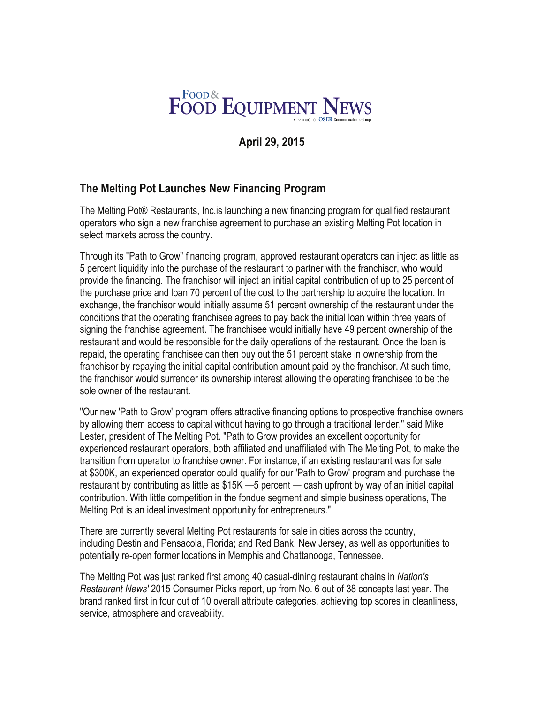

## **April 29, 2015**

## **The Melting Pot Launches New Financing Program**

The Melting Pot® Restaurants, Inc.is launching a new financing program for qualified restaurant operators who sign a new franchise agreement to purchase an existing Melting Pot location in select markets across the country.

Through its "Path to Grow" financing program, approved restaurant operators can inject as little as 5 percent liquidity into the purchase of the restaurant to partner with the franchisor, who would provide the financing. The franchisor will inject an initial capital contribution of up to 25 percent of the purchase price and loan 70 percent of the cost to the partnership to acquire the location. In exchange, the franchisor would initially assume 51 percent ownership of the restaurant under the conditions that the operating franchisee agrees to pay back the initial loan within three years of signing the franchise agreement. The franchisee would initially have 49 percent ownership of the restaurant and would be responsible for the daily operations of the restaurant. Once the loan is repaid, the operating franchisee can then buy out the 51 percent stake in ownership from the franchisor by repaying the initial capital contribution amount paid by the franchisor. At such time, the franchisor would surrender its ownership interest allowing the operating franchisee to be the sole owner of the restaurant.

"Our new 'Path to Grow' program offers attractive financing options to prospective franchise owners by allowing them access to capital without having to go through a traditional lender," said Mike Lester, president of The Melting Pot. "Path to Grow provides an excellent opportunity for experienced restaurant operators, both affiliated and unaffiliated with The Melting Pot, to make the transition from operator to franchise owner. For instance, if an existing restaurant was for sale at \$300K, an experienced operator could qualify for our 'Path to Grow' program and purchase the restaurant by contributing as little as \$15K —5 percent — cash upfront by way of an initial capital contribution. With little competition in the fondue segment and simple business operations, The Melting Pot is an ideal investment opportunity for entrepreneurs."

There are currently several Melting Pot restaurants for sale in cities across the country, including Destin and Pensacola, Florida; and Red Bank, New Jersey, as well as opportunities to potentially re-open former locations in Memphis and Chattanooga, Tennessee.

The Melting Pot was just ranked first among 40 casual-dining restaurant chains in *Nation's Restaurant News'* 2015 Consumer Picks report, up from No. 6 out of 38 concepts last year. The brand ranked first in four out of 10 overall attribute categories, achieving top scores in cleanliness, service, atmosphere and craveability.